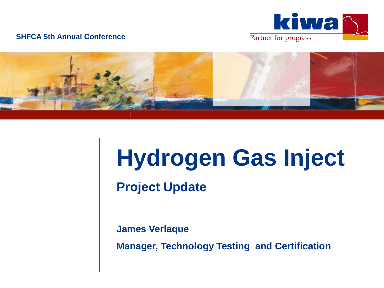

#### **SHFCA 5th Annual Conference** Partner for progress



# **Hydrogen Gas Inject**

**Project Update**

**James Verlaque**

**Manager, Technology Testing and Certification**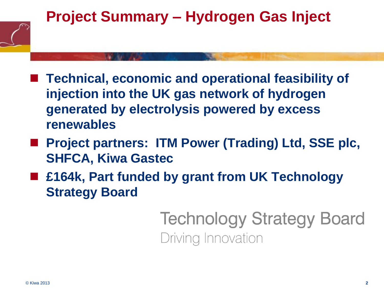

- **Technical, economic and operational feasibility of injection into the UK gas network of hydrogen generated by electrolysis powered by excess renewables**
- **Project partners: ITM Power (Trading) Ltd, SSE plc, SHFCA, Kiwa Gastec**
- £164k, Part funded by grant from UK Technology **Strategy Board**

**Technology Strategy Board** Driving Innovation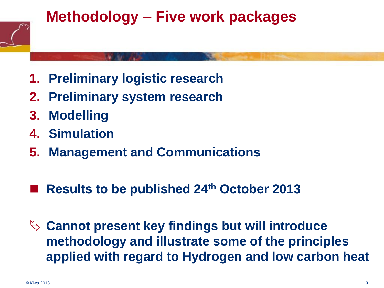# **Methodology – Five work packages**

- **1. Preliminary logistic research**
- **2. Preliminary system research**
- **3. Modelling**
- **4. Simulation**
- **5. Management and Communications**
- **Results to be published 24th October 2013**

 **Cannot present key findings but will introduce methodology and illustrate some of the principles applied with regard to Hydrogen and low carbon heat**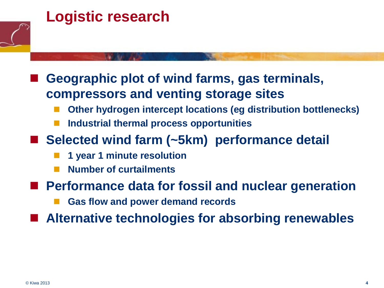

- **compressors and venting storage sites**
	- **Other hydrogen intercept locations (eg distribution bottlenecks)**
	- **Industrial thermal process opportunities**
- **Selected wind farm (~5km) performance detail**
	- **1 year 1 minute resolution**
	- **Number of curtailments**
- **Performance data for fossil and nuclear generation**
	- **Gas flow and power demand records**

■ Alternative technologies for absorbing renewables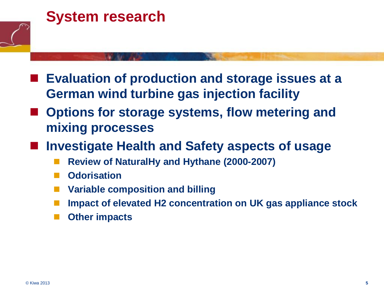

# **System research**

- **Evaluation of production and storage issues at a German wind turbine gas injection facility**
- Options for storage systems, flow metering and **mixing processes**
- **Investigate Health and Safety aspects of usage**
	- **Review of NaturalHy and Hythane (2000-2007)**
	- **Odorisation**
	- **Variable composition and billing**
	- **Impact of elevated H2 concentration on UK gas appliance stock**
	- **Other impacts**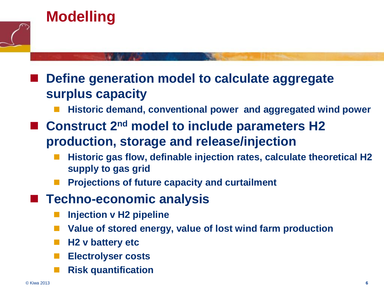

# **Modelling**

# **Define generation model to calculate aggregate surplus capacity**

- **Historic demand, conventional power and aggregated wind power**
- Construct 2<sup>nd</sup> model to include parameters H2 **production, storage and release/injection**
	- **Historic gas flow, definable injection rates, calculate theoretical H2 supply to gas grid**
	- **Projections of future capacity and curtailment**

#### **Techno-economic analysis**

- **Injection v H2 pipeline**
- **Value of stored energy, value of lost wind farm production**
- **H2 v battery etc**
- **Electrolyser costs**
- **Risk quantification**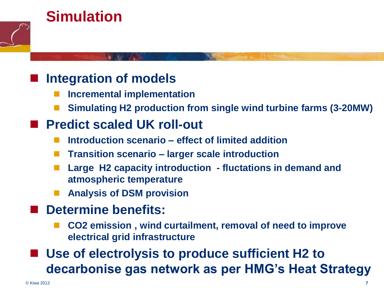# **Simulation**

#### **Integration of models**

- **Incremental implementation**
- **Simulating H2 production from single wind turbine farms (3-20MW)**

# **Predict scaled UK roll-out**

- **Introduction scenario – effect of limited addition**
- **Transition scenario – larger scale introduction**
- **Large H2 capacity introduction - fluctations in demand and atmospheric temperature**
- **Analysis of DSM provision**

## **Determine benefits:**

- **CO2 emission , wind curtailment, removal of need to improve electrical grid infrastructure**
- Use of electrolysis to produce sufficient **H2** to **decarbonise gas network as per HMG's Heat Strategy**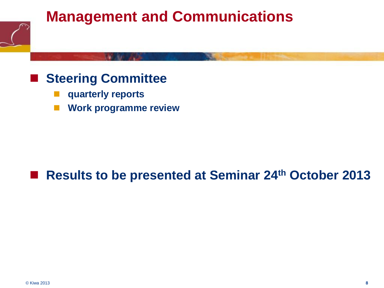# **Management and Communications**

#### **Steering Committee**

- **quarterly reports**
- **Work programme review**

#### ■ Results to be presented at Seminar 24<sup>th</sup> October 2013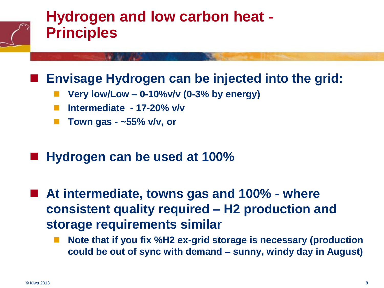

# **Hydrogen and low carbon heat - Principles**

#### **Envisage Hydrogen can be injected into the grid:**

- **Very low/Low – 0-10%v/v (0-3% by energy)**
- **Intermediate - 17-20% v/v**
- **Town gas - ~55% v/v, or**
- **Hydrogen can be used at 100%**

 **At intermediate, towns gas and 100% - where consistent quality required – H2 production and storage requirements similar**

 **Note that if you fix %H2 ex-grid storage is necessary (production could be out of sync with demand – sunny, windy day in August)**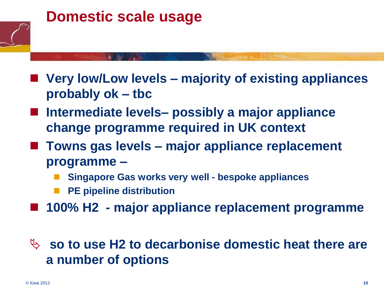

# **Domestic scale usage**

- **Very low/Low levels – majority of existing appliances probably ok – tbc**
- Intermediate levels– possibly a major appliance **change programme required in UK context**
- Towns gas levels major appliance replacement **programme –**
	- **Singapore Gas works very well - bespoke appliances**
	- **PE pipeline distribution**
- 100% H2 major appliance replacement programme

### **so to use H2 to decarbonise domestic heat there are a number of options**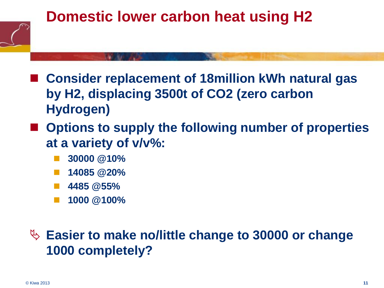

# **Domestic lower carbon heat using H2**

- **Consider replacement of 18million kWh natural gas by H2, displacing 3500t of CO2 (zero carbon Hydrogen)**
- Options to supply the following number of properties **at a variety of v/v%:**
	- **30000 @10%**
	- **14085 @20%**
	- **4485 @55%**
	- **1000 @100%**

### **Easier to make no/little change to 30000 or change 1000 completely?**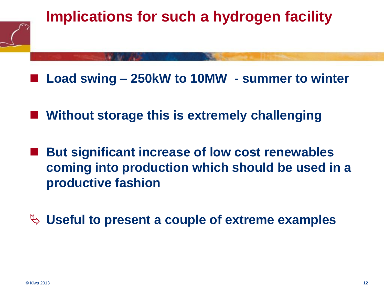

- **Load swing – 250kW to 10MW - summer to winter**
- Without storage this is extremely challenging
- **But significant increase of low cost renewables coming into production which should be used in a productive fashion**
- **Useful to present a couple of extreme examples**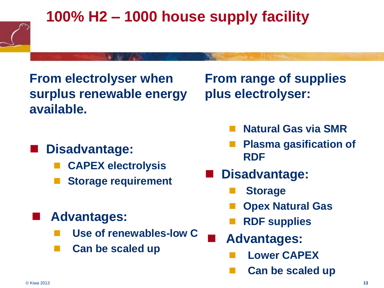

# **100% H2 – 1000 house supply facility**

**From electrolyser when surplus renewable energy available.**

**Disadvantage:**

- **CAPEX electrolysis**
- **Storage requirement**
- **Advantages:**
	- **Use of renewables-low C**
	- **Can be scaled up**

**From range of supplies plus electrolyser:**

- **Natural Gas via SMR**
- **Plasma gasification of RDF**
- **Disadvantage:**
	- **Storage**
	- **Opex Natural Gas**
	- **RDF supplies**
	- **Advantages:**
		- **Lower CAPEX**
		- **Can be scaled up**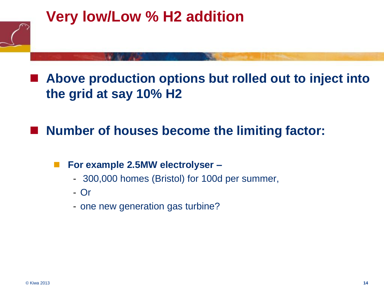

- **Above production options but rolled out to inject into the grid at say 10% H2**
- **Number of houses become the limiting factor:**
	- For example 2.5MW electrolyser
		- 300,000 homes (Bristol) for 100d per summer,
		- Or
		- one new generation gas turbine?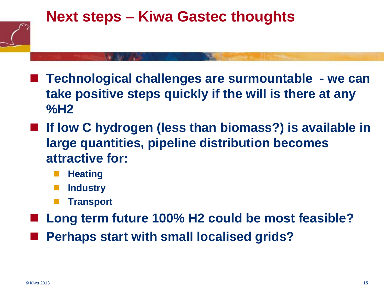

- **Technological challenges are surmountable - we can take positive steps quickly if the will is there at any %H2**
- **If low C hydrogen (less than biomass?) is available in large quantities, pipeline distribution becomes attractive for:**
	- **Heating**
	- **Industry**
	- **Transport**
- **Long term future 100% H2 could be most feasible?**
- **Perhaps start with small localised grids?**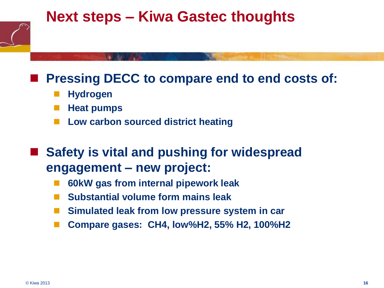# **Next steps – Kiwa Gastec thoughts**

#### **Pressing DECC to compare end to end costs of:**

- **Hydrogen**
- **Heat pumps**
- **Low carbon sourced district heating**

#### **Safety is vital and pushing for widespread engagement – new project:**

- **60kW gas from internal pipework leak**
- **Substantial volume form mains leak**
- **Simulated leak from low pressure system in car**
- **Compare gases: CH4, low%H2, 55% H2, 100%H2**